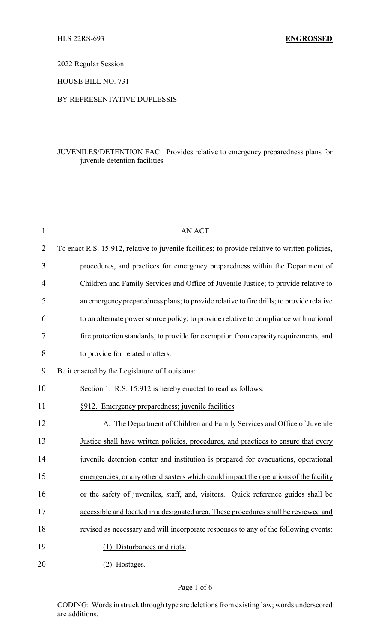2022 Regular Session

HOUSE BILL NO. 731

## BY REPRESENTATIVE DUPLESSIS

## JUVENILES/DETENTION FAC: Provides relative to emergency preparedness plans for juvenile detention facilities

| $\mathbf{1}$ | <b>AN ACT</b>                                                                                   |
|--------------|-------------------------------------------------------------------------------------------------|
| 2            | To enact R.S. 15:912, relative to juvenile facilities; to provide relative to written policies, |
| 3            | procedures, and practices for emergency preparedness within the Department of                   |
| 4            | Children and Family Services and Office of Juvenile Justice; to provide relative to             |
| 5            | an emergency preparedness plans; to provide relative to fire drills; to provide relative        |
| 6            | to an alternate power source policy; to provide relative to compliance with national            |
| 7            | fire protection standards; to provide for exemption from capacity requirements; and             |
| 8            | to provide for related matters.                                                                 |
| 9            | Be it enacted by the Legislature of Louisiana:                                                  |
| 10           | Section 1. R.S. 15:912 is hereby enacted to read as follows:                                    |
| 11           | §912. Emergency preparedness; juvenile facilities                                               |
| 12           | A. The Department of Children and Family Services and Office of Juvenile                        |
| 13           | Justice shall have written policies, procedures, and practices to ensure that every             |
| 14           | juvenile detention center and institution is prepared for evacuations, operational              |
| 15           | emergencies, or any other disasters which could impact the operations of the facility           |
| 16           | or the safety of juveniles, staff, and, visitors. Quick reference guides shall be               |
| 17           | accessible and located in a designated area. These procedures shall be reviewed and             |
| 18           | revised as necessary and will incorporate responses to any of the following events:             |
| 19           | (1) Disturbances and riots.                                                                     |
| 20           | (2) Hostages.                                                                                   |

CODING: Words in struck through type are deletions from existing law; words underscored are additions.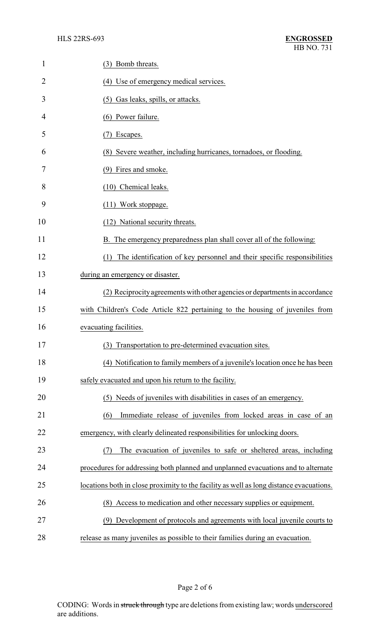| $\mathbf{1}$   | (3) Bomb threats.                                                                       |
|----------------|-----------------------------------------------------------------------------------------|
| $\overline{2}$ | (4) Use of emergency medical services.                                                  |
| 3              | (5) Gas leaks, spills, or attacks.                                                      |
| 4              | (6) Power failure.                                                                      |
| 5              | Escapes.<br>(7)                                                                         |
| 6              | (8) Severe weather, including hurricanes, tornadoes, or flooding.                       |
| 7              | (9) Fires and smoke.                                                                    |
| 8              | (10) Chemical leaks.                                                                    |
| 9              | (11) Work stoppage.                                                                     |
| 10             | (12) National security threats.                                                         |
| 11             | B. The emergency preparedness plan shall cover all of the following:                    |
| 12             | The identification of key personnel and their specific responsibilities<br>(1)          |
| 13             | during an emergency or disaster.                                                        |
| 14             | (2) Reciprocity agreements with other agencies or departments in accordance             |
| 15             | with Children's Code Article 822 pertaining to the housing of juveniles from            |
| 16             | evacuating facilities.                                                                  |
| 17             | (3) Transportation to pre-determined evacuation sites                                   |
| 18             | (4) Notification to family members of a juvenile's location once he has been            |
| 19             | safely evacuated and upon his return to the facility.                                   |
| 20             | (5) Needs of juveniles with disabilities in cases of an emergency.                      |
| 21             | Immediate release of juveniles from locked areas in case of an<br>(6)                   |
| 22             | emergency, with clearly delineated responsibilities for unlocking doors.                |
| 23             | The evacuation of juveniles to safe or sheltered areas, including<br>(7)                |
| 24             | procedures for addressing both planned and unplanned evacuations and to alternate       |
| 25             | locations both in close proximity to the facility as well as long distance evacuations. |
| 26             | (8) Access to medication and other necessary supplies or equipment.                     |
| 27             | (9) Development of protocols and agreements with local juvenile courts to               |
| 28             | release as many juveniles as possible to their families during an evacuation.           |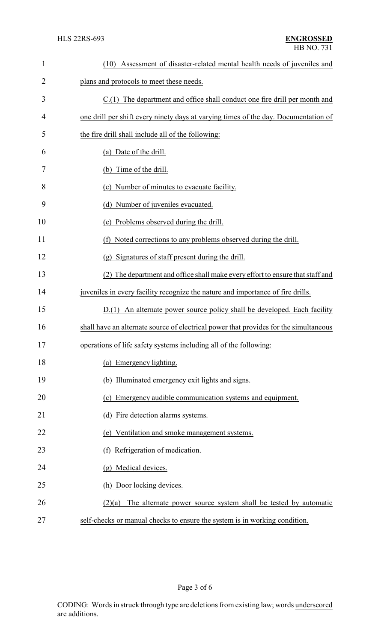| $\mathbf{1}$   | Assessment of disaster-related mental health needs of juveniles and<br>(10)           |
|----------------|---------------------------------------------------------------------------------------|
| $\overline{2}$ | plans and protocols to meet these needs.                                              |
| 3              | C.(1) The department and office shall conduct one fire drill per month and            |
| 4              | one drill per shift every ninety days at varying times of the day. Documentation of   |
| 5              | the fire drill shall include all of the following:                                    |
| 6              | (a) Date of the drill.                                                                |
| 7              | (b) Time of the drill.                                                                |
| 8              | (c) Number of minutes to evacuate facility.                                           |
| 9              | (d) Number of juveniles evacuated.                                                    |
| 10             | Problems observed during the drill.<br>(e)                                            |
| 11             | Noted corrections to any problems observed during the drill.<br>(f)                   |
| 12             | (g) Signatures of staff present during the drill.                                     |
| 13             | (2) The department and office shall make every effort to ensure that staff and        |
| 14             | juveniles in every facility recognize the nature and importance of fire drills.       |
| 15             | D.(1) An alternate power source policy shall be developed. Each facility              |
| 16             | shall have an alternate source of electrical power that provides for the simultaneous |
| 17             | operations of life safety systems including all of the following:                     |
| 18             | (a) Emergency lighting.                                                               |
| 19             | (b) Illuminated emergency exit lights and signs.                                      |
| 20             | (c) Emergency audible communication systems and equipment.                            |
| 21             | (d) Fire detection alarms systems.                                                    |
| 22             | (e) Ventilation and smoke management systems.                                         |
| 23             | (f) Refrigeration of medication.                                                      |
| 24             | (g) Medical devices.                                                                  |
| 25             | (h) Door locking devices.                                                             |
| 26             | The alternate power source system shall be tested by automatic<br>(2)(a)              |
| 27             | self-checks or manual checks to ensure the system is in working condition.            |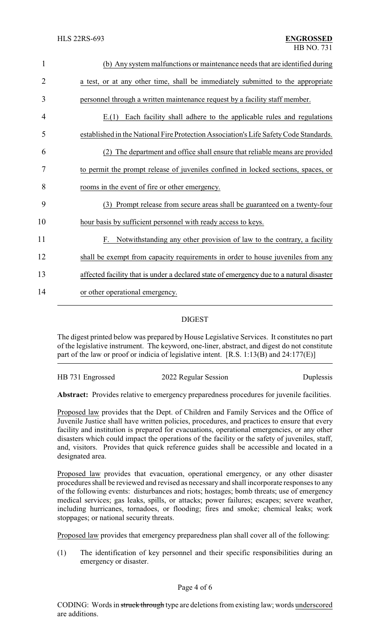| $\mathbf{1}$   | (b) Any system malfunctions or maintenance needs that are identified during             |
|----------------|-----------------------------------------------------------------------------------------|
| $\overline{2}$ | a test, or at any other time, shall be immediately submitted to the appropriate         |
| 3              | personnel through a written maintenance request by a facility staff member.             |
| $\overline{4}$ | Each facility shall adhere to the applicable rules and regulations<br>E(1)              |
| 5              | established in the National Fire Protection Association's Life Safety Code Standards.   |
| 6              | (2) The department and office shall ensure that reliable means are provided             |
| 7              | to permit the prompt release of juveniles confined in locked sections, spaces, or       |
| 8              | rooms in the event of fire or other emergency.                                          |
| 9              | (3) Prompt release from secure areas shall be guaranteed on a twenty-four               |
| 10             | hour basis by sufficient personnel with ready access to keys.                           |
| 11             | F. Notwithstanding any other provision of law to the contrary, a facility               |
| 12             | shall be exempt from capacity requirements in order to house juveniles from any         |
| 13             | affected facility that is under a declared state of emergency due to a natural disaster |
| 14             | or other operational emergency.                                                         |
|                |                                                                                         |

## DIGEST

The digest printed below was prepared by House Legislative Services. It constitutes no part of the legislative instrument. The keyword, one-liner, abstract, and digest do not constitute part of the law or proof or indicia of legislative intent. [R.S. 1:13(B) and 24:177(E)]

HB 731 Engrossed 2022 Regular Session Duplessis

**Abstract:** Provides relative to emergency preparedness procedures for juvenile facilities.

Proposed law provides that the Dept. of Children and Family Services and the Office of Juvenile Justice shall have written policies, procedures, and practices to ensure that every facility and institution is prepared for evacuations, operational emergencies, or any other disasters which could impact the operations of the facility or the safety of juveniles, staff, and, visitors. Provides that quick reference guides shall be accessible and located in a designated area.

Proposed law provides that evacuation, operational emergency, or any other disaster procedures shall be reviewed and revised as necessary and shall incorporate responses to any of the following events: disturbances and riots; hostages; bomb threats; use of emergency medical services; gas leaks, spills, or attacks; power failures; escapes; severe weather, including hurricanes, tornadoes, or flooding; fires and smoke; chemical leaks; work stoppages; or national security threats.

Proposed law provides that emergency preparedness plan shall cover all of the following:

(1) The identification of key personnel and their specific responsibilities during an emergency or disaster.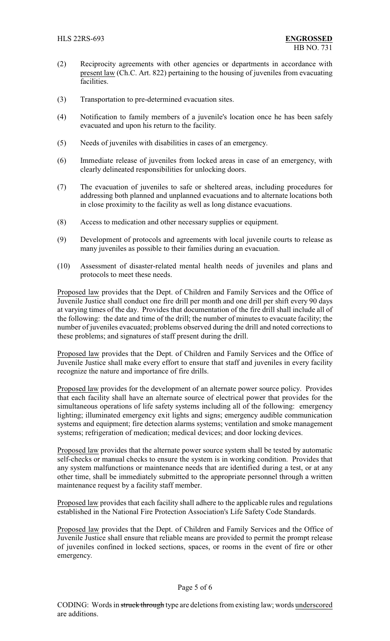- (2) Reciprocity agreements with other agencies or departments in accordance with present law (Ch.C. Art. 822) pertaining to the housing of juveniles from evacuating facilities.
- (3) Transportation to pre-determined evacuation sites.
- (4) Notification to family members of a juvenile's location once he has been safely evacuated and upon his return to the facility.
- (5) Needs of juveniles with disabilities in cases of an emergency.
- (6) Immediate release of juveniles from locked areas in case of an emergency, with clearly delineated responsibilities for unlocking doors.
- (7) The evacuation of juveniles to safe or sheltered areas, including procedures for addressing both planned and unplanned evacuations and to alternate locations both in close proximity to the facility as well as long distance evacuations.
- (8) Access to medication and other necessary supplies or equipment.
- (9) Development of protocols and agreements with local juvenile courts to release as many juveniles as possible to their families during an evacuation.
- (10) Assessment of disaster-related mental health needs of juveniles and plans and protocols to meet these needs.

Proposed law provides that the Dept. of Children and Family Services and the Office of Juvenile Justice shall conduct one fire drill per month and one drill per shift every 90 days at varying times of the day. Provides that documentation of the fire drill shall include all of the following: the date and time of the drill; the number of minutes to evacuate facility; the number of juveniles evacuated; problems observed during the drill and noted corrections to these problems; and signatures of staff present during the drill.

Proposed law provides that the Dept. of Children and Family Services and the Office of Juvenile Justice shall make every effort to ensure that staff and juveniles in every facility recognize the nature and importance of fire drills.

Proposed law provides for the development of an alternate power source policy. Provides that each facility shall have an alternate source of electrical power that provides for the simultaneous operations of life safety systems including all of the following: emergency lighting; illuminated emergency exit lights and signs; emergency audible communication systems and equipment; fire detection alarms systems; ventilation and smoke management systems; refrigeration of medication; medical devices; and door locking devices.

Proposed law provides that the alternate power source system shall be tested by automatic self-checks or manual checks to ensure the system is in working condition. Provides that any system malfunctions or maintenance needs that are identified during a test, or at any other time, shall be immediately submitted to the appropriate personnel through a written maintenance request by a facility staff member.

Proposed law provides that each facility shall adhere to the applicable rules and regulations established in the National Fire Protection Association's Life Safety Code Standards.

Proposed law provides that the Dept. of Children and Family Services and the Office of Juvenile Justice shall ensure that reliable means are provided to permit the prompt release of juveniles confined in locked sections, spaces, or rooms in the event of fire or other emergency.